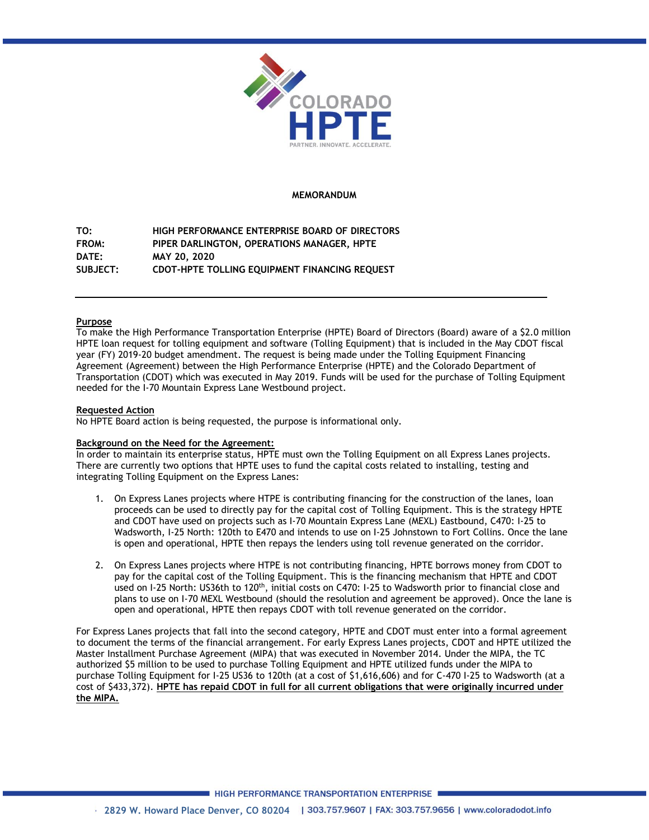

## **MEMORANDUM**

**TO: HIGH PERFORMANCE ENTERPRISE BOARD OF DIRECTORS FROM: PIPER DARLINGTON, OPERATIONS MANAGER, HPTE DATE: MAY 20, 2020 SUBJECT: CDOT-HPTE TOLLING EQUIPMENT FINANCING REQUEST**

# **Purpose**

To make the High Performance Transportation Enterprise (HPTE) Board of Directors (Board) aware of a \$2.0 million HPTE loan request for tolling equipment and software (Tolling Equipment) that is included in the May CDOT fiscal year (FY) 2019-20 budget amendment. The request is being made under the Tolling Equipment Financing Agreement (Agreement) between the High Performance Enterprise (HPTE) and the Colorado Department of Transportation (CDOT) which was executed in May 2019. Funds will be used for the purchase of Tolling Equipment needed for the I-70 Mountain Express Lane Westbound project.

## **Requested Action**

No HPTE Board action is being requested, the purpose is informational only.

# **Background on the Need for the Agreement:**

In order to maintain its enterprise status, HPTE must own the Tolling Equipment on all Express Lanes projects. There are currently two options that HPTE uses to fund the capital costs related to installing, testing and integrating Tolling Equipment on the Express Lanes:

- 1. On Express Lanes projects where HTPE is contributing financing for the construction of the lanes, loan proceeds can be used to directly pay for the capital cost of Tolling Equipment. This is the strategy HPTE and CDOT have used on projects such as I-70 Mountain Express Lane (MEXL) Eastbound, C470: I-25 to Wadsworth, I-25 North: 120th to E470 and intends to use on I-25 Johnstown to Fort Collins. Once the lane is open and operational, HPTE then repays the lenders using toll revenue generated on the corridor.
- 2. On Express Lanes projects where HTPE is not contributing financing, HPTE borrows money from CDOT to pay for the capital cost of the Tolling Equipment. This is the financing mechanism that HPTE and CDOT used on I-25 North: US36th to 120<sup>th</sup>, initial costs on C470: I-25 to Wadsworth prior to financial close and plans to use on I-70 MEXL Westbound (should the resolution and agreement be approved). Once the lane is open and operational, HPTE then repays CDOT with toll revenue generated on the corridor.

For Express Lanes projects that fall into the second category, HPTE and CDOT must enter into a formal agreement to document the terms of the financial arrangement. For early Express Lanes projects, CDOT and HPTE utilized the Master Installment Purchase Agreement (MIPA) that was executed in November 2014. Under the MIPA, the TC authorized \$5 million to be used to purchase Tolling Equipment and HPTE utilized funds under the MIPA to purchase Tolling Equipment for I-25 US36 to 120th (at a cost of \$1,616,606) and for C-470 I-25 to Wadsworth (at a cost of \$433,372). **HPTE has repaid CDOT in full for all current obligations that were originally incurred under the MIPA.**

HIGH PERFORMANCE TRANSPORTATION ENTERPRISE